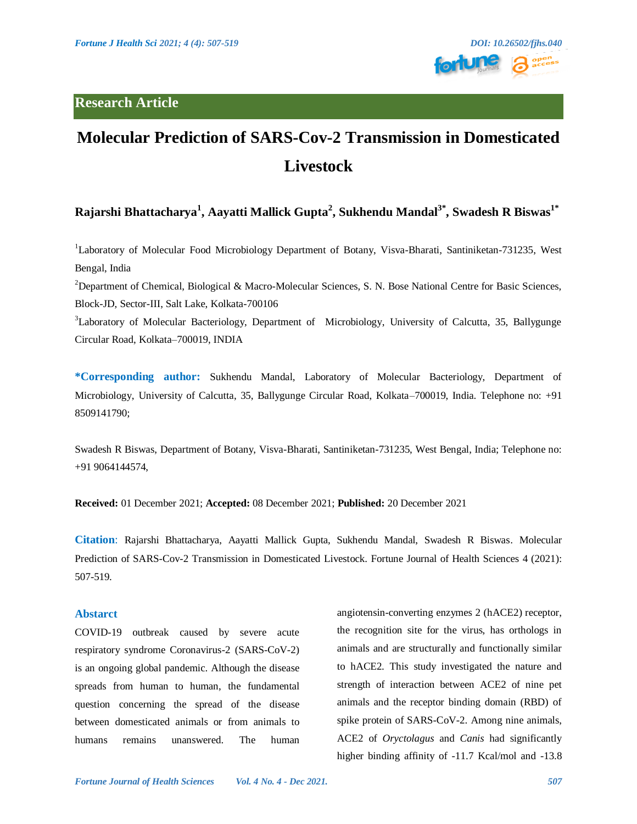

# **Molecular Prediction of SARS-Cov-2 Transmission in Domesticated Livestock**

# **Rajarshi Bhattacharya<sup>1</sup> , Aayatti Mallick Gupta<sup>2</sup> , Sukhendu Mandal3\*, Swadesh R Biswas1\***

<sup>1</sup>Laboratory of Molecular Food Microbiology Department of Botany, Visva-Bharati*,* Santiniketan-731235, West Bengal, India

<sup>2</sup>Department of Chemical, Biological & Macro-Molecular Sciences, S. N. Bose National Centre for Basic Sciences, Block-JD, Sector-III, Salt Lake, Kolkata-700106

<sup>3</sup>Laboratory of Molecular Bacteriology, Department of Microbiology, University of Calcutta, 35, Ballygunge Circular Road, Kolkata–700019, INDIA

**\*Corresponding author:** Sukhendu Mandal, Laboratory of Molecular Bacteriology, Department of Microbiology, University of Calcutta, 35, Ballygunge Circular Road, Kolkata–700019, India. Telephone no: +91 8509141790;

Swadesh R Biswas, Department of Botany, Visva-Bharati, Santiniketan-731235, West Bengal, India; Telephone no: +91 9064144574,

**Received:** 01 December 2021; **Accepted:** 08 December 2021; **Published:** 20 December 2021

**Citation**: Rajarshi Bhattacharya, Aayatti Mallick Gupta, Sukhendu Mandal, Swadesh R Biswas. Molecular Prediction of SARS-Cov-2 Transmission in Domesticated Livestock. Fortune Journal of Health Sciences 4 (2021): 507-519.

## **Abstarct**

COVID-19 outbreak caused by severe acute respiratory syndrome Coronavirus-2 (SARS-CoV-2) is an ongoing global pandemic. Although the disease spreads from human to human, the fundamental question concerning the spread of the disease between domesticated animals or from animals to humans remains unanswered. The human

angiotensin-converting enzymes 2 (hACE2) receptor, the recognition site for the virus, has orthologs in animals and are structurally and functionally similar to hACE2. This study investigated the nature and strength of interaction between ACE2 of nine pet animals and the receptor binding domain (RBD) of spike protein of SARS-CoV-2. Among nine animals, ACE2 of *Oryctolagus* and *Canis* had significantly higher binding affinity of -11.7 Kcal/mol and -13.8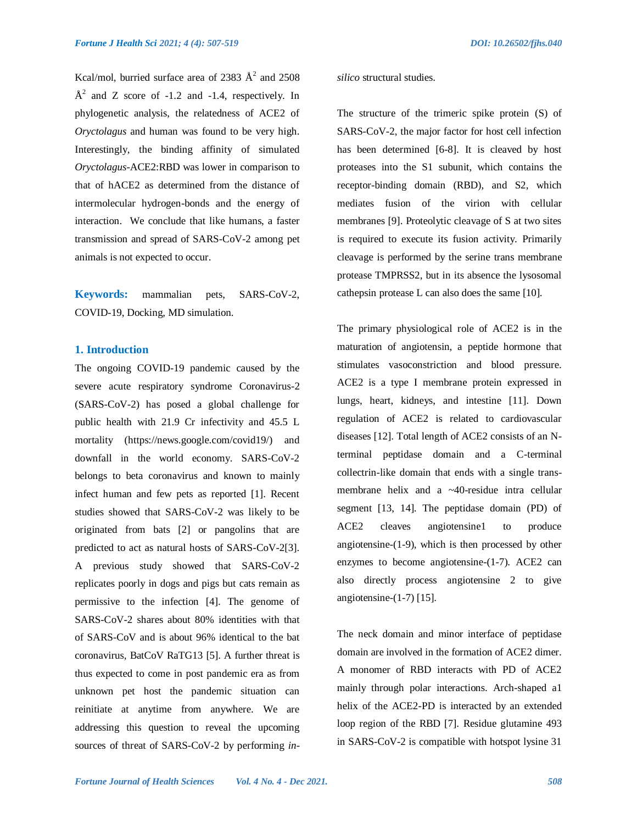Kcal/mol, burried surface area of 2383  $\AA^2$  and 2508  $\AA^2$  and Z score of -1.2 and -1.4, respectively. In phylogenetic analysis, the relatedness of ACE2 of *Oryctolagus* and human was found to be very high. Interestingly, the binding affinity of simulated *Oryctolagus*-ACE2:RBD was lower in comparison to that of hACE2 as determined from the distance of intermolecular hydrogen-bonds and the energy of interaction. We conclude that like humans, a faster transmission and spread of SARS-CoV-2 among pet animals is not expected to occur.

**Keywords:** mammalian pets, SARS-CoV-2, COVID-19, Docking, MD simulation.

# **1. Introduction**

The ongoing COVID-19 pandemic caused by the severe acute respiratory syndrome Coronavirus-2 (SARS-CoV-2) has posed a global challenge for public health with 21.9 Cr infectivity and 45.5 L mortality (https://news.google.com/covid19/) and downfall in the world economy. SARS-CoV-2 belongs to beta coronavirus and known to mainly infect human and few pets as reported [1]. Recent studies showed that SARS-CoV-2 was likely to be originated from bats [2] or pangolins that are predicted to act as natural hosts of SARS-CoV-2[3]. A previous study showed that SARS-CoV-2 replicates poorly in dogs and pigs but cats remain as permissive to the infection [4]. The genome of SARS-CoV-2 shares about 80% identities with that of SARS-CoV and is about 96% identical to the bat coronavirus, BatCoV RaTG13 [5]. A further threat is thus expected to come in post pandemic era as from unknown pet host the pandemic situation can reinitiate at anytime from anywhere. We are addressing this question to reveal the upcoming sources of threat of SARS-CoV-2 by performing *in-* *silico* structural studies.

The structure of the trimeric spike protein (S) of SARS-CoV-2, the major factor for host cell infection has been determined [6-8]. It is cleaved by host proteases into the S1 subunit, which contains the receptor-binding domain (RBD), and S2, which mediates fusion of the virion with cellular membranes [9]. Proteolytic cleavage of S at two sites is required to execute its fusion activity. Primarily cleavage is performed by the serine trans membrane protease TMPRSS2, but in its absence the lysosomal cathepsin protease L can also does the same [10].

The primary physiological role of ACE2 is in the maturation of angiotensin, a peptide hormone that stimulates vasoconstriction and blood pressure. ACE2 is a type I membrane protein expressed in lungs, heart, kidneys, and intestine [11]. Down regulation of ACE2 is related to cardiovascular diseases [12]. Total length of ACE2 consists of an Nterminal peptidase domain and a C-terminal collectrin-like domain that ends with a single transmembrane helix and a ~40-residue intra cellular segment [13, 14]. The peptidase domain (PD) of ACE2 cleaves angiotensine1 to produce angiotensine-(1-9), which is then processed by other enzymes to become angiotensine-(1-7). ACE2 can also directly process angiotensine 2 to give angiotensine-(1-7) [15].

The neck domain and minor interface of peptidase domain are involved in the formation of ACE2 dimer. A monomer of RBD interacts with PD of ACE2 mainly through polar interactions. Arch-shaped a1 helix of the ACE2-PD is interacted by an extended loop region of the RBD [7]. Residue glutamine 493 in SARS-CoV-2 is compatible with hotspot lysine 31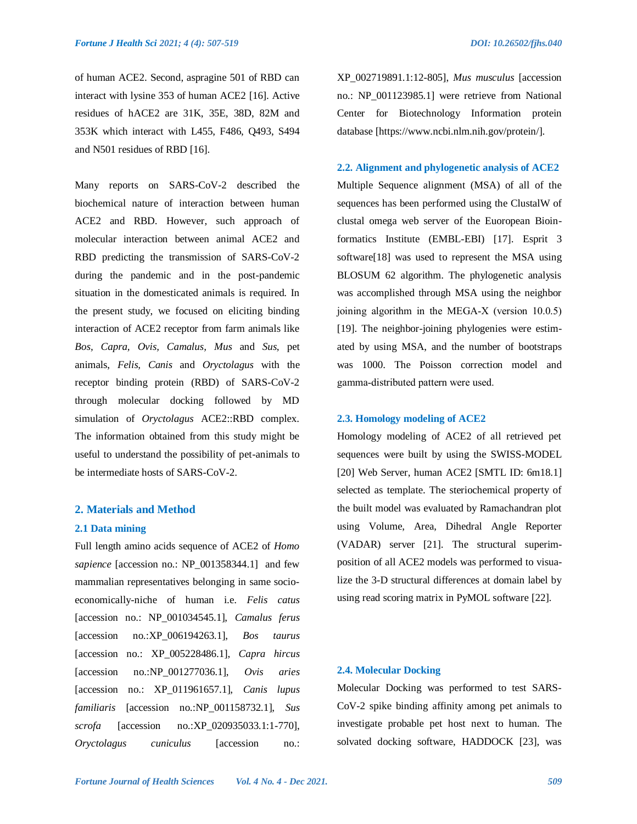of human ACE2. Second, aspragine 501 of RBD can interact with lysine 353 of human ACE2 [16]. Active residues of hACE2 are 31K, 35E, 38D, 82M and 353K which interact with L455, F486, Q493, S494 and N501 residues of RBD [16].

Many reports on SARS-CoV-2 described the biochemical nature of interaction between human ACE2 and RBD. However, such approach of molecular interaction between animal ACE2 and RBD predicting the transmission of SARS-CoV-2 during the pandemic and in the post-pandemic situation in the domesticated animals is required. In the present study, we focused on eliciting binding interaction of ACE2 receptor from farm animals like *Bos, Capra, Ovis, Camalus, Mus* and *Sus*, pet animals, *Felis, Canis* and *Oryctolagus* with the receptor binding protein (RBD) of SARS-CoV-2 through molecular docking followed by MD simulation of *Oryctolagus* ACE2::RBD complex. The information obtained from this study might be useful to understand the possibility of pet-animals to be intermediate hosts of SARS-CoV-2.

# **2. Materials and Method**

#### **2.1 Data mining**

Full length amino acids sequence of ACE2 of *Homo sapience* [accession no.: NP\_001358344.1] and few mammalian representatives belonging in same socioeconomically-niche of human i.e. *Felis catus* [accession no.: NP\_001034545.1], *Camalus ferus*  [accession no.:XP\_006194263.1], *Bos taurus*  [accession no.: XP\_005228486.1], *Capra hircus*  [accession no.:NP\_001277036.1], *Ovis aries* [accession no.: XP\_011961657.1], *Canis lupus familiaris* [accession no.:NP\_001158732.1], *Sus scrofa* [accession no.:XP\_020935033.1:1-770], *Oryctolagus cuniculus* [accession no.:

XP\_002719891.1:12-805], *Mus musculus* [accession no.: NP\_001123985.1] were retrieve from National Center for Biotechnology Information protein database [https://www.ncbi.nlm.nih.gov/protein/].

**2.2. Alignment and phylogenetic analysis of ACE2** Multiple Sequence alignment (MSA) of all of the sequences has been performed using the ClustalW of clustal omega web server of the Euoropean Bioinformatics Institute (EMBL-EBI) [17]. Esprit 3 software[18] was used to represent the MSA using BLOSUM 62 algorithm. The phylogenetic analysis was accomplished through MSA using the neighbor joining algorithm in the MEGA‐X (version 10.0.5) [19]. The neighbor-joining phylogenies were estimated by using MSA, and the number of bootstraps was 1000. The Poisson correction model and gamma‐distributed pattern were used.

# **2.3. Homology modeling of ACE2**

Homology modeling of ACE2 of all retrieved pet sequences were built by using the SWISS-MODEL [20] Web Server, human ACE2 [SMTL ID: 6m18.1] selected as template. The steriochemical property of the built model was evaluated by Ramachandran plot using Volume, Area, Dihedral Angle Reporter (VADAR) server [21]. The structural superimposition of all ACE2 models was performed to visualize the 3-D structural differences at domain label by using read scoring matrix in PyMOL software [22].

#### **2.4. Molecular Docking**

Molecular Docking was performed to test SARS-CoV-2 spike binding affinity among pet animals to investigate probable pet host next to human. The solvated docking software, HADDOCK [23], was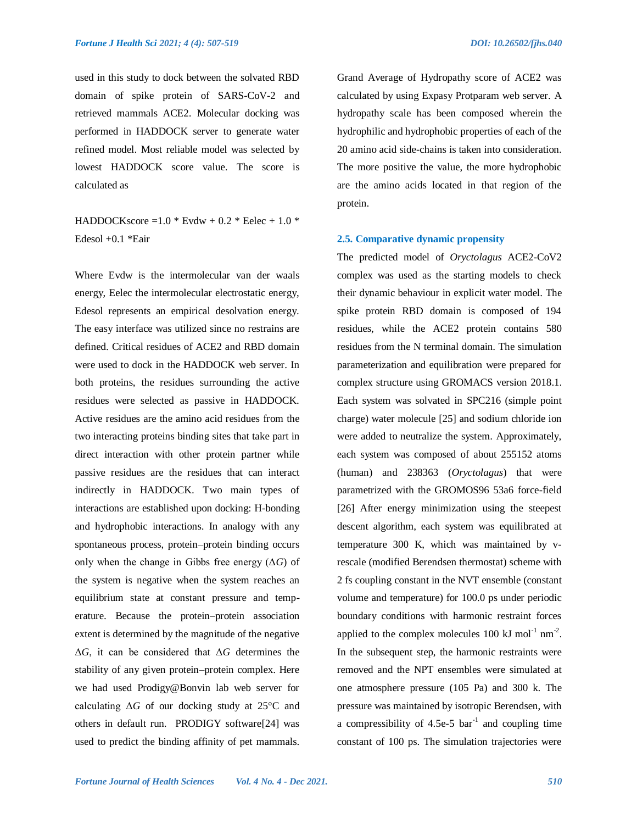used in this study to dock between the solvated RBD domain of spike protein of SARS-CoV-2 and retrieved mammals ACE2. Molecular docking was performed in HADDOCK server to generate water refined model. Most reliable model was selected by lowest HADDOCK score value. The score is calculated as

HADDOCKscore =  $1.0 *$  Evdw +  $0.2 *$  Eelec +  $1.0 *$ Edesol +0.1 \*Eair

Where Evdw is the intermolecular van der waals energy, Eelec the intermolecular electrostatic energy, Edesol represents an empirical desolvation energy. The easy interface was utilized since no restrains are defined. Critical residues of ACE2 and RBD domain were used to dock in the HADDOCK web server. In both proteins, the residues surrounding the active residues were selected as passive in HADDOCK. Active residues are the amino acid residues from the two interacting proteins binding sites that take part in direct interaction with other protein partner while passive residues are the residues that can interact indirectly in HADDOCK. Two main types of interactions are established upon docking: H-bonding and hydrophobic interactions. In analogy with any spontaneous process, protein–protein binding occurs only when the change in Gibbs free energy (Δ*G*) of the system is negative when the system reaches an equilibrium state at constant pressure and temperature. Because the protein–protein association extent is determined by the magnitude of the negative Δ*G*, it can be considered that Δ*G* determines the stability of any given protein–protein complex. Here we had used Prodigy@Bonvin lab web server for calculating Δ*G* of our docking study at 25°C and others in default run. PRODIGY software[24] was used to predict the binding affinity of pet mammals. Grand Average of Hydropathy score of ACE2 was calculated by using Expasy Protparam web server. A hydropathy scale has been composed wherein the hydrophilic and hydrophobic properties of each of the 20 amino acid side-chains is taken into consideration. The more positive the value, the more hydrophobic are the amino acids located in that region of the protein.

# **2.5. Comparative dynamic propensity**

The predicted model of *Oryctolagus* ACE2-CoV2 complex was used as the starting models to check their dynamic behaviour in explicit water model. The spike protein RBD domain is composed of 194 residues, while the ACE2 protein contains 580 residues from the N terminal domain. The simulation parameterization and equilibration were prepared for complex structure using GROMACS version 2018.1. Each system was solvated in SPC216 (simple point charge) water molecule [25] and sodium chloride ion were added to neutralize the system. Approximately, each system was composed of about 255152 atoms (human) and 238363 (*Oryctolagus*) that were parametrized with the GROMOS96 53a6 force-field [26] After energy minimization using the steepest descent algorithm, each system was equilibrated at temperature 300 K, which was maintained by vrescale (modified Berendsen thermostat) scheme with 2 fs coupling constant in the NVT ensemble (constant volume and temperature) for 100.0 ps under periodic boundary conditions with harmonic restraint forces applied to the complex molecules  $100 \text{ kJ} \text{ mol}^{-1} \text{ nm}^{-2}$ . In the subsequent step, the harmonic restraints were removed and the NPT ensembles were simulated at one atmosphere pressure (105 Pa) and 300 k. The pressure was maintained by isotropic Berendsen, with a compressibility of 4.5e-5  $bar^{-1}$  and coupling time constant of 100 ps. The simulation trajectories were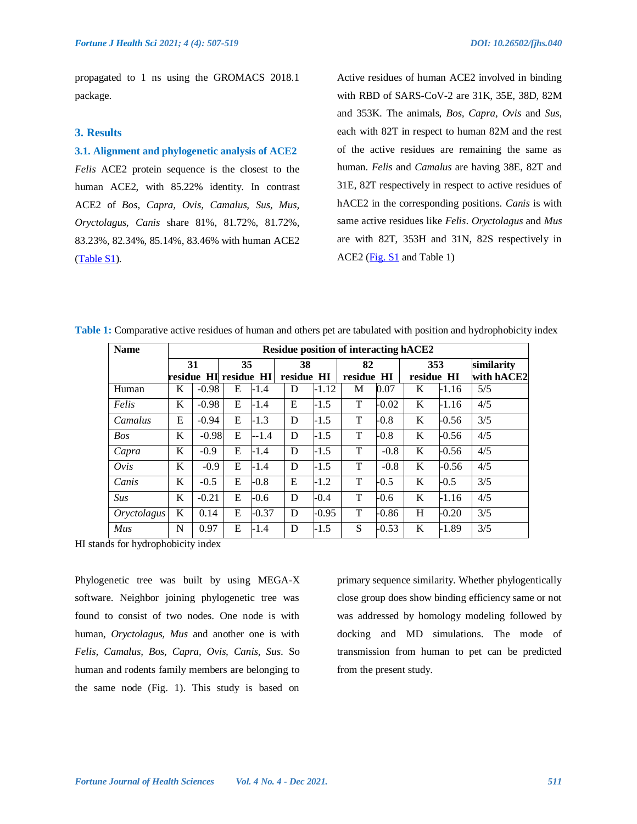propagated to 1 ns using the GROMACS 2018.1 package.

## **3. Results**

#### **3.1. Alignment and phylogenetic analysis of ACE2**

*Felis* ACE2 protein sequence is the closest to the human ACE2, with 85.22% identity. In contrast ACE2 of *Bos, Capra, Ovis, Camalus, Sus, Mus, Oryctolagus, Canis* share 81%, 81.72%, 81.72%, 83.23%, 82.34%, 85.14%, 83.46% with human ACE2 [\(Table S1\)](https://www.fortunejournals.com/supply/supplyFJHS_4690.pdf).

Active residues of human ACE2 involved in binding with RBD of SARS-CoV-2 are 31K, 35E, 38D, 82M and 353K. The animals, *Bos, Capra, Ovis* and *Sus*, each with 82T in respect to human 82M and the rest of the active residues are remaining the same as human. *Felis* and *Camalus* are having 38E, 82T and 31E, 82T respectively in respect to active residues of hACE2 in the corresponding positions. *Canis* is with same active residues like *Felis*. *Oryctolagus* and *Mus* are with 82T, 353H and 31N, 82S respectively in ACE2 [\(Fig. S1](https://www.fortunejournals.com/supply/supplyFJHS_4690.pdf) and Table 1)

| <b>Name</b> | <b>Residue position of interacting hACE2</b> |                       |    |         |    |            |            |         |     |            |            |
|-------------|----------------------------------------------|-----------------------|----|---------|----|------------|------------|---------|-----|------------|------------|
|             | 31                                           |                       | 35 |         | 38 |            | 82         |         | 353 |            | similarity |
|             |                                              | residue HI residue HI |    |         |    | residue HI | residue HI |         |     | residue HI | with hACE2 |
| Human       | K                                            | $-0.98$               | E  | $-1.4$  | D  | -1.12      | М          | 0.07    | K   | $-1.16$    | 5/5        |
| Felis       | K                                            | $-0.98$               | E  | $-1.4$  | E  | $-1.5$     | T          | $-0.02$ | K   | $-1.16$    | 4/5        |
| Camalus     | E                                            | $-0.94$               | E  | $-1.3$  | D  | $-1.5$     | T          | $-0.8$  | K   | $-0.56$    | 3/5        |
| <b>Bos</b>  | K                                            | $-0.98$               | E  | $-1.4$  | D  | $-1.5$     | T          | $-0.8$  | K   | $-0.56$    | 4/5        |
| Capra       | K                                            | $-0.9$                | E  | $-1.4$  | D  | $-1.5$     | T          | $-0.8$  | K   | $-0.56$    | 4/5        |
| Ovis        | K                                            | $-0.9$                | E  | $-1.4$  | D  | $-1.5$     | T          | $-0.8$  | K   | $-0.56$    | 4/5        |
| Canis       | K                                            | $-0.5$                | E  | $-0.8$  | Ε  | $-1.2$     | T          | $-0.5$  | K   | $-0.5$     | 3/5        |
| <b>Sus</b>  | K                                            | $-0.21$               | E  | $-0.6$  | D  | $-0.4$     | T          | $-0.6$  | K   | $-1.16$    | 4/5        |
| Oryctolagus | K                                            | 0.14                  | E  | $-0.37$ | D  | $-0.95$    | T          | $-0.86$ | H   | $-0.20$    | 3/5        |
| Mus         | N                                            | 0.97                  | E  | $-1.4$  | D  | $-1.5$     | S          | $-0.53$ | K   | $-1.89$    | 3/5        |

**Table 1:** Comparative active residues of human and others pet are tabulated with position and hydrophobicity index

HI stands for hydrophobicity index

Phylogenetic tree was built by using MEGA-X software. Neighbor joining phylogenetic tree was found to consist of two nodes. One node is with human, *Oryctolagus, Mus* and another one is with *Felis, Camalus, Bos, Capra, Ovis, Canis, Sus*. So human and rodents family members are belonging to the same node (Fig. 1). This study is based on

primary sequence similarity. Whether phylogentically close group does show binding efficiency same or not was addressed by homology modeling followed by docking and MD simulations. The mode of transmission from human to pet can be predicted from the present study.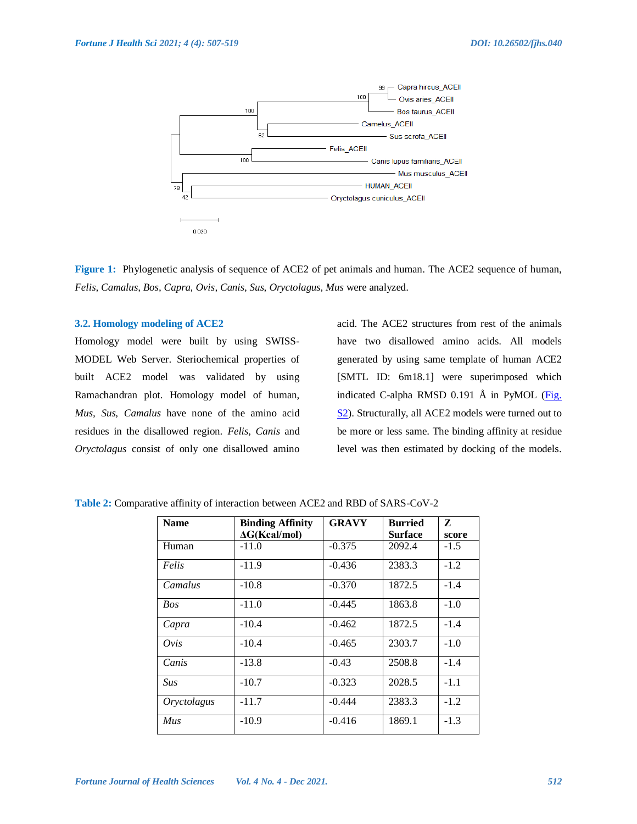

**Figure 1:** Phylogenetic analysis of sequence of ACE2 of pet animals and human. The ACE2 sequence of human, *Felis, Camalus, Bos, Capra, Ovis, Canis, Sus, Oryctolagus, Mus* were analyzed.

#### **3.2. Homology modeling of ACE2**

Homology model were built by using SWISS-MODEL Web Server. Steriochemical properties of built ACE2 model was validated by using Ramachandran plot. Homology model of human, *Mus, Sus, Camalus* have none of the amino acid residues in the disallowed region. *Felis, Canis* and *Oryctolagus* consist of only one disallowed amino

acid. The ACE2 structures from rest of the animals have two disallowed amino acids. All models generated by using same template of human ACE2 [SMTL ID: 6m18.1] were superimposed which indicated C-alpha RMSD 0.191 Å in PyMOL (Fig. [S2\)](https://www.fortunejournals.com/supply/supplyFJHS_4690.pdf). Structurally, all ACE2 models were turned out to be more or less same. The binding affinity at residue level was then estimated by docking of the models.

| <b>Name</b> | <b>Binding Affinity</b> | <b>GRAVY</b> | <b>Burried</b> | Z      |
|-------------|-------------------------|--------------|----------------|--------|
|             | $\Delta G(Kcal/mol)$    |              | <b>Surface</b> | score  |
| Human       | $-11.0$                 | $-0.375$     | 2092.4         | $-1.5$ |
| Felis       | $-11.9$                 | $-0.436$     | 2383.3         | $-1.2$ |
| Camalus     | $-10.8$                 | $-0.370$     | 1872.5         | $-1.4$ |
| <b>Bos</b>  | $-11.0$                 | $-0.445$     | 1863.8         | $-1.0$ |
| Capra       | $-10.4$                 | $-0.462$     | 1872.5         | $-1.4$ |
| Ovis        | $-10.4$                 | $-0.465$     | 2303.7         | $-1.0$ |
| Canis       | $-13.8$                 | $-0.43$      | 2508.8         | $-1.4$ |
| Sus         | $-10.7$                 | $-0.323$     | 2028.5         | $-1.1$ |
| Oryctolagus | $-11.7$                 | $-0.444$     | 2383.3         | $-1.2$ |
| Mus         | $-10.9$                 | $-0.416$     | 1869.1         | $-1.3$ |

**Table 2:** Comparative affinity of interaction between ACE2 and RBD of SARS-CoV-2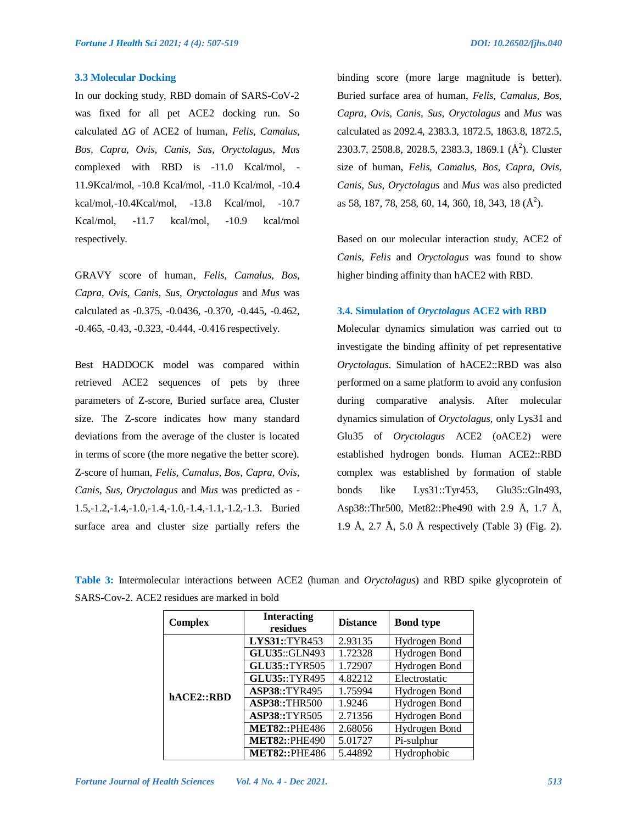#### **3.3 Molecular Docking**

In our docking study, RBD domain of SARS-CoV-2 was fixed for all pet ACE2 docking run. So calculated Δ*G* of ACE2 of human, *Felis, Camalus, Bos, Capra, Ovis, Canis, Sus, Oryctolagus, Mus*  complexed with RBD is -11.0 Kcal/mol, - 11.9Kcal/mol, -10.8 Kcal/mol, -11.0 Kcal/mol, -10.4 kcal/mol,-10.4Kcal/mol, -13.8 Kcal/mol, -10.7 Kcal/mol, -11.7 kcal/mol, -10.9 kcal/mol respectively.

GRAVY score of human, *Felis, Camalus, Bos, Capra, Ovis, Canis, Sus, Oryctolagus* and *Mus* was calculated as -0.375, -0.0436, -0.370, -0.445, -0.462, -0.465, -0.43, -0.323, -0.444, -0.416 respectively.

Best HADDOCK model was compared within retrieved ACE2 sequences of pets by three parameters of Z-score, Buried surface area, Cluster size. The Z-score indicates how many standard deviations from the average of the cluster is located in terms of score (the more negative the better score). Z-score of human, *Felis, Camalus, Bos, Capra, Ovis, Canis, Sus, Oryctolagus* and *Mus* was predicted as - 1.5,-1.2,-1.4,-1.0,-1.4,-1.0,-1.4,-1.1,-1.2,-1.3. Buried surface area and cluster size partially refers the

binding score (more large magnitude is better). Buried surface area of human, *Felis, Camalus, Bos, Capra, Ovis, Canis, Sus, Oryctolagus* and *Mus* was calculated as 2092.4, 2383.3, 1872.5, 1863.8, 1872.5, 2303.7, 2508.8, 2028.5, 2383.3, 1869.1 (Å<sup>2</sup>). Cluster size of human, *Felis, Camalus, Bos, Capra, Ovis, Canis, Sus, Oryctolagus* and *Mus* was also predicted as 58, 187, 78, 258, 60, 14, 360, 18, 343, 18 (Å<sup>2</sup>).

Based on our molecular interaction study, ACE2 of *Canis, Felis* and *Oryctolagus* was found to show higher binding affinity than hACE2 with RBD.

# **3.4. Simulation of** *Oryctolagus* **ACE2 with RBD**

Molecular dynamics simulation was carried out to investigate the binding affinity of pet representative *Oryctolagus*. Simulation of hACE2::RBD was also performed on a same platform to avoid any confusion during comparative analysis. After molecular dynamics simulation of *Oryctolagus,* only Lys31 and Glu35 of *Oryctolagus* ACE2 (oACE2) were established hydrogen bonds. Human ACE2::RBD complex was established by formation of stable bonds like Lys31::Tyr453, Glu35::Gln493, Asp38::Thr500, Met82::Phe490 with 2.9 Å, 1.7 Å, 1.9 Å, 2.7 Å, 5.0 Å respectively (Table 3) (Fig. 2).

**Table 3:** Intermolecular interactions between ACE2 (human and *Oryctolagus*) and RBD spike glycoprotein of SARS-Cov-2. ACE2 residues are marked in bold

| <b>Complex</b> | <b>Interacting</b><br>residues | <b>Distance</b> | <b>Bond type</b> |
|----------------|--------------------------------|-----------------|------------------|
|                | LYS31::TYR453                  | 2.93135         | Hydrogen Bond    |
|                | <b>GLU35::GLN493</b>           | 1.72328         | Hydrogen Bond    |
|                | GLU35::TYR505                  | 1.72907         | Hydrogen Bond    |
|                | <b>GLU35::TYR495</b>           | 4.82212         | Electrostatic    |
| hACE2::RBD     | <b>ASP38::TYR495</b>           | 1.75994         | Hydrogen Bond    |
|                | <b>ASP38::THR500</b>           | 1.9246          | Hydrogen Bond    |
|                | <b>ASP38::TYR505</b>           | 2.71356         | Hydrogen Bond    |
|                | <b>MET82::PHE486</b>           | 2.68056         | Hydrogen Bond    |
|                | <b>MET82:: PHE490</b>          | 5.01727         | Pi-sulphur       |
|                | <b>MET82::PHE486</b>           | 5.44892         | Hydrophobic      |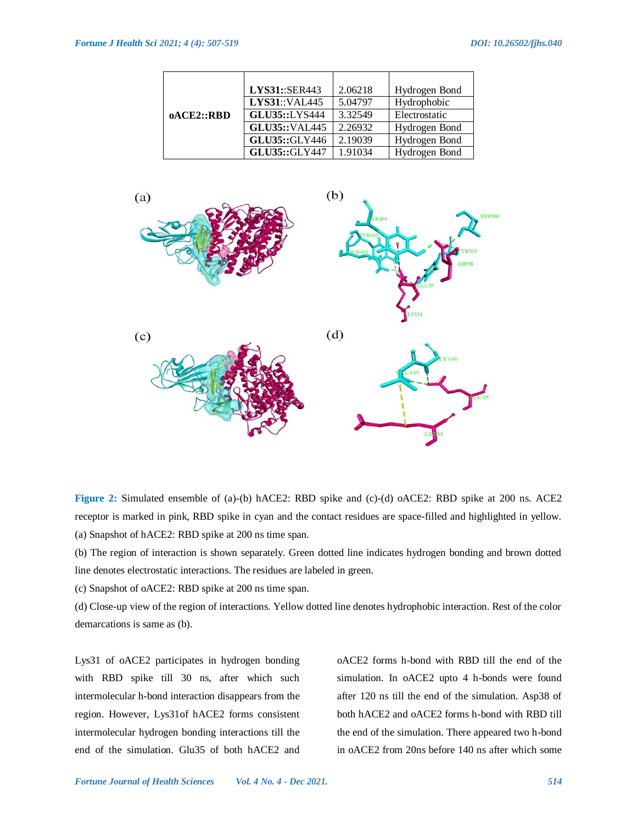|            | LYS31::SER443        | 2.06218 | Hydrogen Bond |
|------------|----------------------|---------|---------------|
|            | <b>LYS31::VAL445</b> | 5.04797 | Hydrophobic   |
| oACE2::RBD | <b>GLU35::LYS444</b> | 3.32549 | Electrostatic |
|            | <b>GLU35::VAL445</b> | 2.26932 | Hydrogen Bond |
|            | GLU35::GLY446        | 2.19039 | Hydrogen Bond |
|            | <b>GLU35::GLY447</b> | 1.91034 | Hydrogen Bond |



**Figure 2:** Simulated ensemble of (a)-(b) hACE2: RBD spike and (c)-(d) oACE2: RBD spike at 200 ns. ACE2 receptor is marked in pink, RBD spike in cyan and the contact residues are space-filled and highlighted in yellow. (a) Snapshot of hACE2: RBD spike at 200 ns time span.

(b) The region of interaction is shown separately. Green dotted line indicates hydrogen bonding and brown dotted line denotes electrostatic interactions. The residues are labeled in green.

(c) Snapshot of oACE2: RBD spike at 200 ns time span.

(d) Close-up view of the region of interactions. Yellow dotted line denotes hydrophobic interaction. Rest of the color demarcations is same as (b).

Lys31 of oACE2 participates in hydrogen bonding with RBD spike till 30 ns, after which such intermolecular h-bond interaction disappears from the region. However, Lys31of hACE2 forms consistent intermolecular hydrogen bonding interactions till the end of the simulation. Glu35 of both hACE2 and

oACE2 forms h-bond with RBD till the end of the simulation. In oACE2 upto 4 h-bonds were found after 120 ns till the end of the simulation. Asp38 of both hACE2 and oACE2 forms h-bond with RBD till the end of the simulation. There appeared two h-bond in oACE2 from 20ns before 140 ns after which some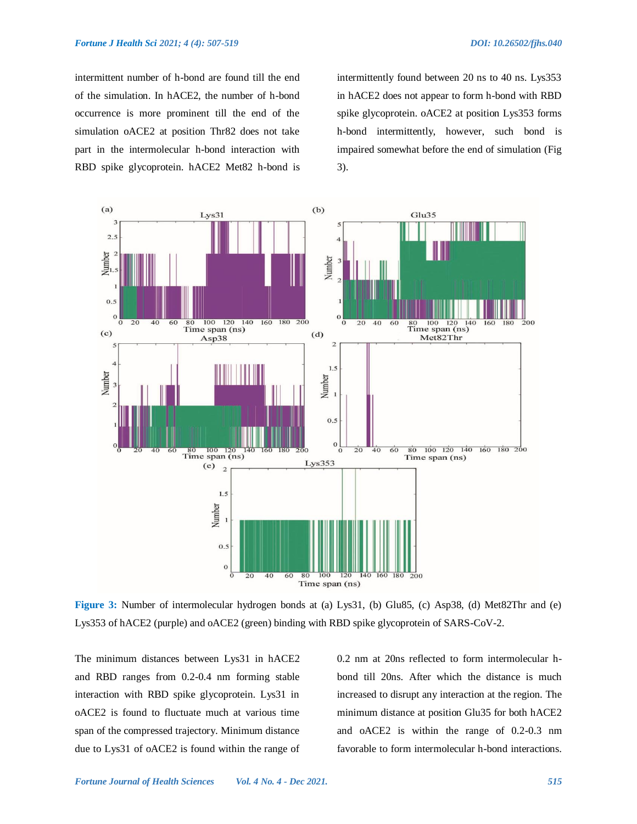intermittent number of h-bond are found till the end of the simulation. In hACE2, the number of h-bond occurrence is more prominent till the end of the simulation oACE2 at position Thr82 does not take part in the intermolecular h-bond interaction with RBD spike glycoprotein. hACE2 Met82 h-bond is

intermittently found between 20 ns to 40 ns. Lys353 in hACE2 does not appear to form h-bond with RBD spike glycoprotein. oACE2 at position Lys353 forms h-bond intermittently, however, such bond is impaired somewhat before the end of simulation (Fig 3).



**Figure 3:** Number of intermolecular hydrogen bonds at (a) Lys31, (b) Glu85, (c) Asp38, (d) Met82Thr and (e) Lys353 of hACE2 (purple) and oACE2 (green) binding with RBD spike glycoprotein of SARS-CoV-2.

The minimum distances between Lys31 in hACE2 and RBD ranges from 0.2-0.4 nm forming stable interaction with RBD spike glycoprotein. Lys31 in oACE2 is found to fluctuate much at various time span of the compressed trajectory. Minimum distance due to Lys31 of oACE2 is found within the range of 0.2 nm at 20ns reflected to form intermolecular hbond till 20ns. After which the distance is much increased to disrupt any interaction at the region. The minimum distance at position Glu35 for both hACE2 and oACE2 is within the range of 0.2-0.3 nm favorable to form intermolecular h-bond interactions.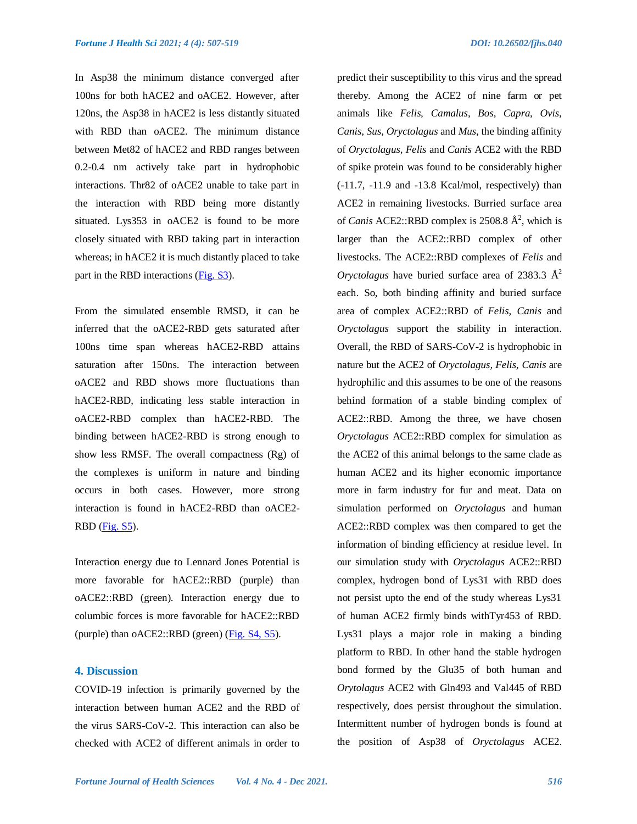In Asp38 the minimum distance converged after 100ns for both hACE2 and oACE2. However, after 120ns, the Asp38 in hACE2 is less distantly situated with RBD than oACE2. The minimum distance between Met82 of hACE2 and RBD ranges between 0.2-0.4 nm actively take part in hydrophobic interactions. Thr82 of oACE2 unable to take part in the interaction with RBD being more distantly situated. Lys353 in oACE2 is found to be more closely situated with RBD taking part in interaction whereas; in hACE2 it is much distantly placed to take part in the RBD interactions [\(Fig. S3\)](https://www.fortunejournals.com/supply/supplyFJHS_4690.pdf).

From the simulated ensemble RMSD, it can be inferred that the oACE2-RBD gets saturated after 100ns time span whereas hACE2-RBD attains saturation after 150ns. The interaction between oACE2 and RBD shows more fluctuations than hACE2-RBD, indicating less stable interaction in oACE2-RBD complex than hACE2-RBD. The binding between hACE2-RBD is strong enough to show less RMSF. The overall compactness (Rg) of the complexes is uniform in nature and binding occurs in both cases. However, more strong interaction is found in hACE2-RBD than oACE2-  $RBD$  (Fig.  $S5$ ).

Interaction energy due to Lennard Jones Potential is more favorable for hACE2::RBD (purple) than oACE2::RBD (green). Interaction energy due to columbic forces is more favorable for hACE2::RBD (purple) than oACE2::RBD (green) [\(Fig. S4, S5\)](https://www.fortunejournals.com/supply/supplyFJHS_4690.pdf).

# **4. Discussion**

COVID-19 infection is primarily governed by the interaction between human ACE2 and the RBD of the virus SARS-CoV-2. This interaction can also be checked with ACE2 of different animals in order to predict their susceptibility to this virus and the spread thereby. Among the ACE2 of nine farm or pet animals like *Felis, Camalus, Bos, Capra, Ovis, Canis, Sus, Oryctolagus* and *Mus,* the binding affinity of *Oryctolagus, Felis* and *Canis* ACE2 with the RBD of spike protein was found to be considerably higher (-11.7, -11.9 and -13.8 Kcal/mol, respectively) than ACE2 in remaining livestocks. Burried surface area of *Canis* ACE2::RBD complex is 2508.8 Å<sup>2</sup>, which is larger than the ACE2::RBD complex of other livestocks. The ACE2::RBD complexes of *Felis* and *Oryctolagus* have buried surface area of 2383.3  $\AA$ <sup>2</sup> each. So, both binding affinity and buried surface area of complex ACE2::RBD of *Felis, Canis* and *Oryctolagus* support the stability in interaction. Overall, the RBD of SARS-CoV-2 is hydrophobic in nature but the ACE2 of *Oryctolagus, Felis, Canis* are hydrophilic and this assumes to be one of the reasons behind formation of a stable binding complex of ACE2::RBD. Among the three, we have chosen *Oryctolagus* ACE2::RBD complex for simulation as the ACE2 of this animal belongs to the same clade as human ACE2 and its higher economic importance more in farm industry for fur and meat. Data on simulation performed on *Oryctolagus* and human ACE2::RBD complex was then compared to get the information of binding efficiency at residue level. In our simulation study with *Oryctolagus* ACE2::RBD complex, hydrogen bond of Lys31 with RBD does not persist upto the end of the study whereas Lys31 of human ACE2 firmly binds withTyr453 of RBD. Lys31 plays a major role in making a binding platform to RBD. In other hand the stable hydrogen bond formed by the Glu35 of both human and *Orytolagus* ACE2 with Gln493 and Val445 of RBD respectively, does persist throughout the simulation. Intermittent number of hydrogen bonds is found at the position of Asp38 of *Oryctolagus* ACE2.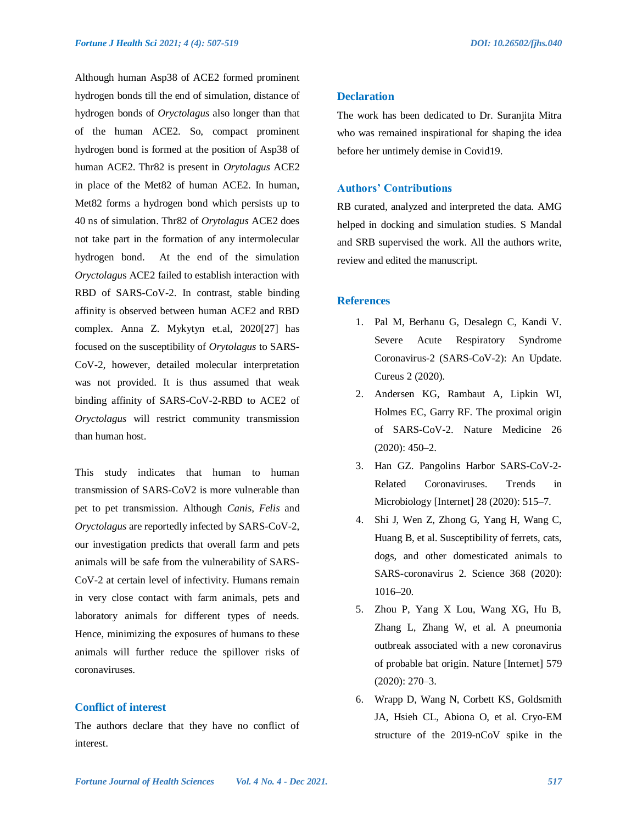Although human Asp38 of ACE2 formed prominent hydrogen bonds till the end of simulation, distance of hydrogen bonds of *Oryctolagus* also longer than that of the human ACE2. So, compact prominent hydrogen bond is formed at the position of Asp38 of human ACE2. Thr82 is present in *Orytolagus* ACE2 in place of the Met82 of human ACE2. In human, Met82 forms a hydrogen bond which persists up to 40 ns of simulation. Thr82 of *Orytolagus* ACE2 does not take part in the formation of any intermolecular hydrogen bond. At the end of the simulation *Oryctolagu*s ACE2 failed to establish interaction with RBD of SARS-CoV-2. In contrast, stable binding affinity is observed between human ACE2 and RBD complex. Anna Z. Mykytyn et.al, 2020[27] has focused on the susceptibility of *Orytolagus* to SARS-CoV-2, however, detailed molecular interpretation was not provided. It is thus assumed that weak binding affinity of SARS-CoV-2-RBD to ACE2 of *Oryctolagus* will restrict community transmission than human host.

This study indicates that human to human transmission of SARS-CoV2 is more vulnerable than pet to pet transmission. Although *Canis, Felis* and *Oryctolagus* are reportedly infected by SARS-CoV-2, our investigation predicts that overall farm and pets animals will be safe from the vulnerability of SARS-CoV-2 at certain level of infectivity. Humans remain in very close contact with farm animals, pets and laboratory animals for different types of needs. Hence, minimizing the exposures of humans to these animals will further reduce the spillover risks of coronaviruses.

# **Conflict of interest**

The authors declare that they have no conflict of interest.

# **Declaration**

The work has been dedicated to Dr. Suranjita Mitra who was remained inspirational for shaping the idea before her untimely demise in Covid19.

# **Authors' Contributions**

RB curated, analyzed and interpreted the data. AMG helped in docking and simulation studies. S Mandal and SRB supervised the work. All the authors write, review and edited the manuscript.

#### **References**

- 1. Pal M, Berhanu G, Desalegn C, Kandi V. Severe Acute Respiratory Syndrome Coronavirus-2 (SARS-CoV-2): An Update. Cureus 2 (2020).
- 2. Andersen KG, Rambaut A, Lipkin WI, Holmes EC, Garry RF. The proximal origin of SARS-CoV-2. Nature Medicine 26  $(2020): 450 - 2.$
- 3. Han GZ. Pangolins Harbor SARS-CoV-2- Related Coronaviruses. Trends in Microbiology [Internet] 28 (2020): 515–7.
- 4. Shi J, Wen Z, Zhong G, Yang H, Wang C, Huang B, et al. Susceptibility of ferrets, cats, dogs, and other domesticated animals to SARS-coronavirus 2. Science 368 (2020): 1016–20.
- 5. Zhou P, Yang X Lou, Wang XG, Hu B, Zhang L, Zhang W, et al. A pneumonia outbreak associated with a new coronavirus of probable bat origin. Nature [Internet] 579 (2020): 270–3.
- 6. Wrapp D, Wang N, Corbett KS, Goldsmith JA, Hsieh CL, Abiona O, et al. Cryo-EM structure of the 2019-nCoV spike in the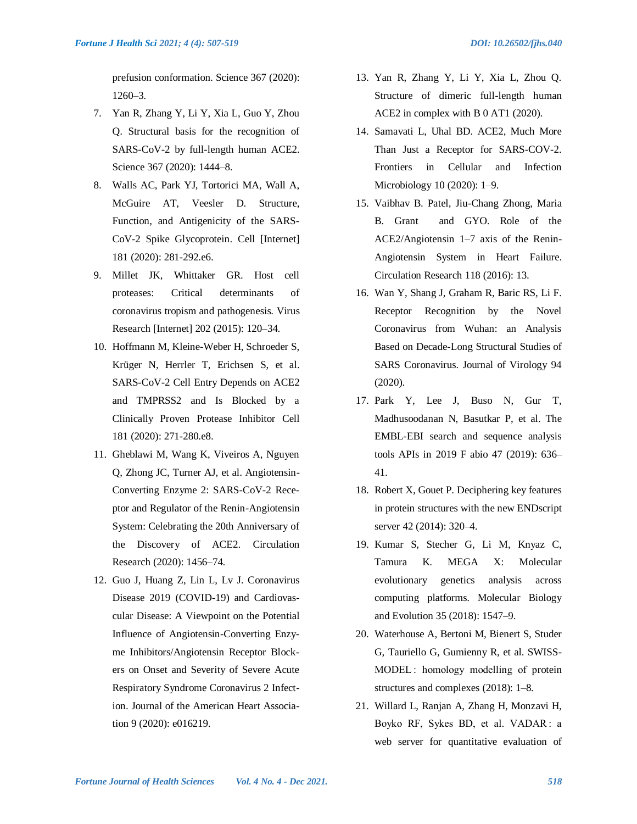prefusion conformation. Science 367 (2020): 1260–3.

- 7. Yan R, Zhang Y, Li Y, Xia L, Guo Y, Zhou Q. Structural basis for the recognition of SARS-CoV-2 by full-length human ACE2. Science 367 (2020): 1444–8.
- 8. Walls AC, Park YJ, Tortorici MA, Wall A, McGuire AT, Veesler D. Structure, Function, and Antigenicity of the SARS-CoV-2 Spike Glycoprotein. Cell [Internet] 181 (2020): 281-292.e6.
- 9. Millet JK, Whittaker GR. Host cell proteases: Critical determinants of coronavirus tropism and pathogenesis. Virus Research [Internet] 202 (2015): 120–34.
- 10. Hoffmann M, Kleine-Weber H, Schroeder S, Krüger N, Herrler T, Erichsen S, et al. SARS-CoV-2 Cell Entry Depends on ACE2 and TMPRSS2 and Is Blocked by a Clinically Proven Protease Inhibitor Cell 181 (2020): 271-280.e8.
- 11. Gheblawi M, Wang K, Viveiros A, Nguyen Q, Zhong JC, Turner AJ, et al. Angiotensin-Converting Enzyme 2: SARS-CoV-2 Receptor and Regulator of the Renin-Angiotensin System: Celebrating the 20th Anniversary of the Discovery of ACE2. Circulation Research (2020): 1456–74.
- 12. Guo J, Huang Z, Lin L, Lv J. Coronavirus Disease 2019 (COVID-19) and Cardiovascular Disease: A Viewpoint on the Potential Influence of Angiotensin-Converting Enzyme Inhibitors/Angiotensin Receptor Blockers on Onset and Severity of Severe Acute Respiratory Syndrome Coronavirus 2 Infection. Journal of the American Heart Association 9 (2020): e016219.
- 13. Yan R, Zhang Y, Li Y, Xia L, Zhou Q. Structure of dimeric full-length human ACE2 in complex with B 0 AT1 (2020).
- 14. Samavati L, Uhal BD. ACE2, Much More Than Just a Receptor for SARS-COV-2. Frontiers in Cellular and Infection Microbiology 10 (2020): 1–9.
- 15. Vaibhav B. Patel, Jiu-Chang Zhong, Maria B. Grant and GYO. Role of the ACE2/Angiotensin 1–7 axis of the Renin-Angiotensin System in Heart Failure. Circulation Research 118 (2016): 13.
- 16. Wan Y, Shang J, Graham R, Baric RS, Li F. Receptor Recognition by the Novel Coronavirus from Wuhan: an Analysis Based on Decade-Long Structural Studies of SARS Coronavirus. Journal of Virology 94 (2020).
- 17. Park Y, Lee J, Buso N, Gur T, Madhusoodanan N, Basutkar P, et al. The EMBL-EBI search and sequence analysis tools APIs in 2019 F abio 47 (2019): 636– 41.
- 18. Robert X, Gouet P. Deciphering key features in protein structures with the new ENDscript server 42 (2014): 320–4.
- 19. Kumar S, Stecher G, Li M, Knyaz C, Tamura K. MEGA X: Molecular evolutionary genetics analysis across computing platforms. Molecular Biology and Evolution 35 (2018): 1547–9.
- 20. Waterhouse A, Bertoni M, Bienert S, Studer G, Tauriello G, Gumienny R, et al. SWISS-MODEL : homology modelling of protein structures and complexes (2018): 1–8.
- 21. Willard L, Ranjan A, Zhang H, Monzavi H, Boyko RF, Sykes BD, et al. VADAR : a web server for quantitative evaluation of